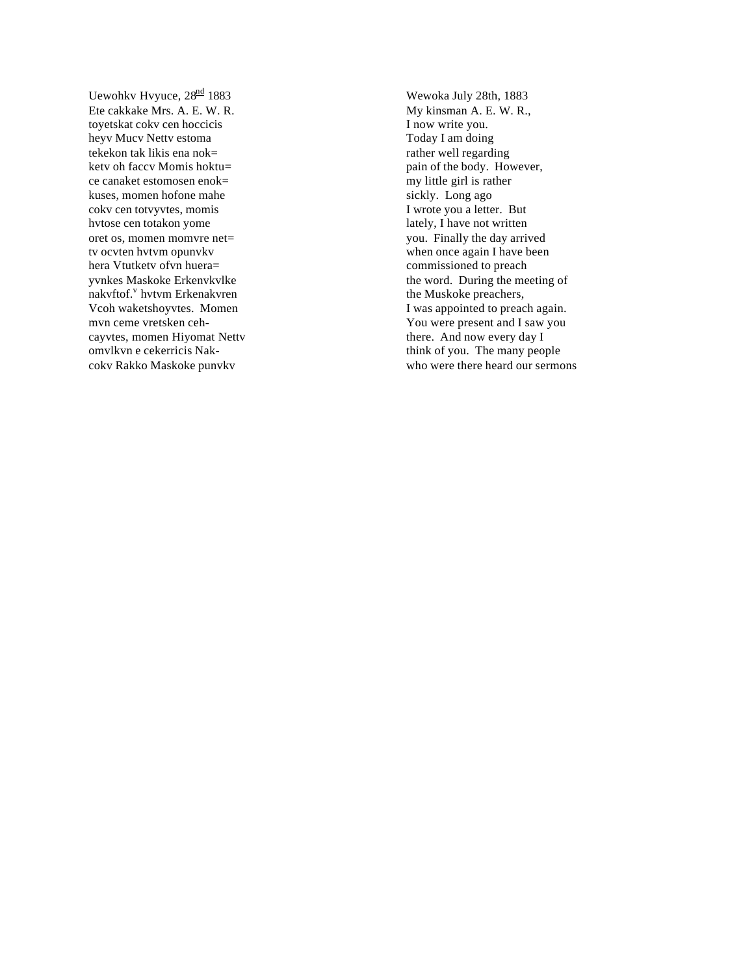Uewohkv Hvyuce, 28<sup>nd</sup> 1883 Ete cakkake Mrs. A. E. W. R. toyetskat cokv cen hoccicis heyv Mucv Nettv estoma tekekon tak likis ena nok= ketv oh faccv Momis hoktu= ce canaket estomosen enok= kuses, momen hofone mahe cokv cen totvyvtes, momis hvtose cen totakon yome oret os, momen momvre net= tv ocvten hvtvm opunvkv hera Vtutketv ofvn huera= yvnkes Maskoke Erkenvkvlke e<br>nakvftof.<sup>v</sup> hvtvm Erkenakvren Vcoh waketshoyvtes. Momen mvn ceme vretsken cehcayvtes, momen Hiyomat Nettv omvlkvn e cekerricis Nakcokv Rakko Maskoke punvkv

Wewoka July 28th, 1883 My kinsman A. E. W. R., I now write you. Today I am doing rather well regarding pain of the body. However, my little girl is rather sickly. Long ago I wrote you a letter. But lately, I have not written you. Finally the day arrived when once again I have been commissioned to preach the word. During the meeting of the Muskoke preachers, I was appointed to preach again. You were present and I saw you there. And now every day I think of you. The many people who were there heard our sermons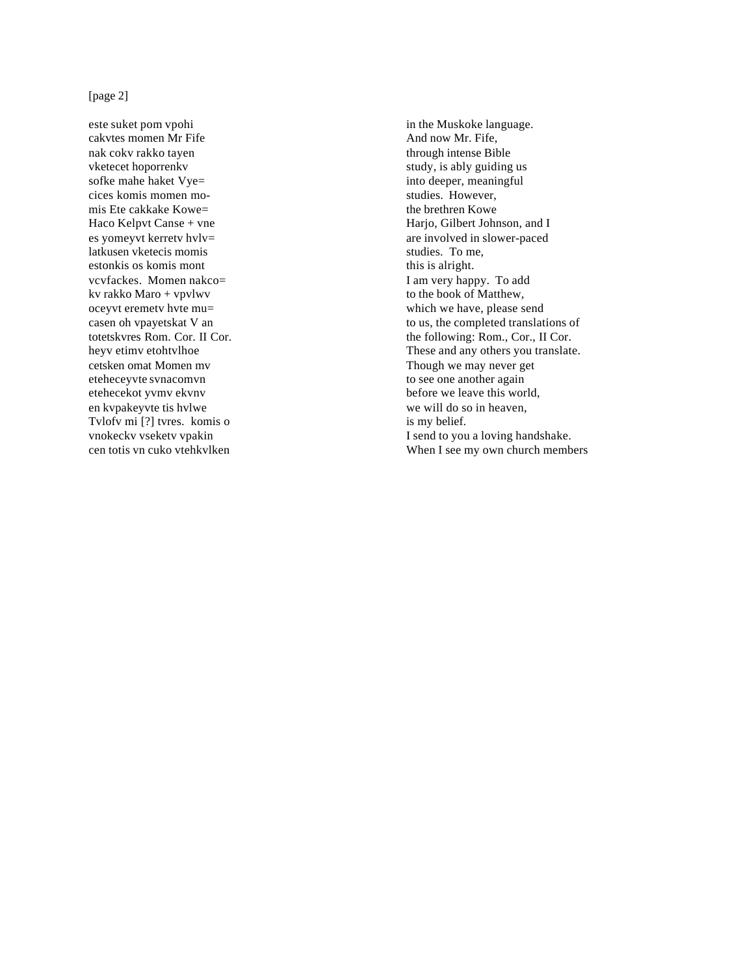## [page 2]

este suket pom vpohi cakvtes momen Mr Fife nak cokv rakko tayen vketecet hoporrenkv sofke mahe haket Vye= cices komis momen momis Ete cakkake Kowe= Haco Kelpvt Canse + vne es yomeyvt kerretv hvlv= latkusen vketecis momis estonkis os komis mont vcvfackes. Momen nakco= kv rakko Maro + vpvlwv oceyvt eremetv hvte mu= casen oh vpayetskat V an totetskvres Rom. Cor. II Cor. heyv etimv etohtvlhoe cetsken omat Momen mv eteheceyvte svnacomvn etehecekot yvmv ekvnv en kvpakeyvte tis hvlwe Tvlofv mi [?] tvres. komis o vnokeckv vseketv vpakin cen totis vn cuko vtehkvlken

in the Muskoke language. And now Mr. Fife, through intense Bible study, is ably guiding us into deeper, meaningful studies. However, the brethren Kowe Harjo, Gilbert Johnson, and I are involved in slower-paced studies. To me, this is alright. I am very happy. To add to the book of Matthew, which we have, please send to us, the completed translations of the following: Rom., Cor., II Cor. These and any others you translate. Though we may never get to see one another again before we leave this world, we will do so in heaven, is my belief. I send to you a loving handshake. When I see my own church members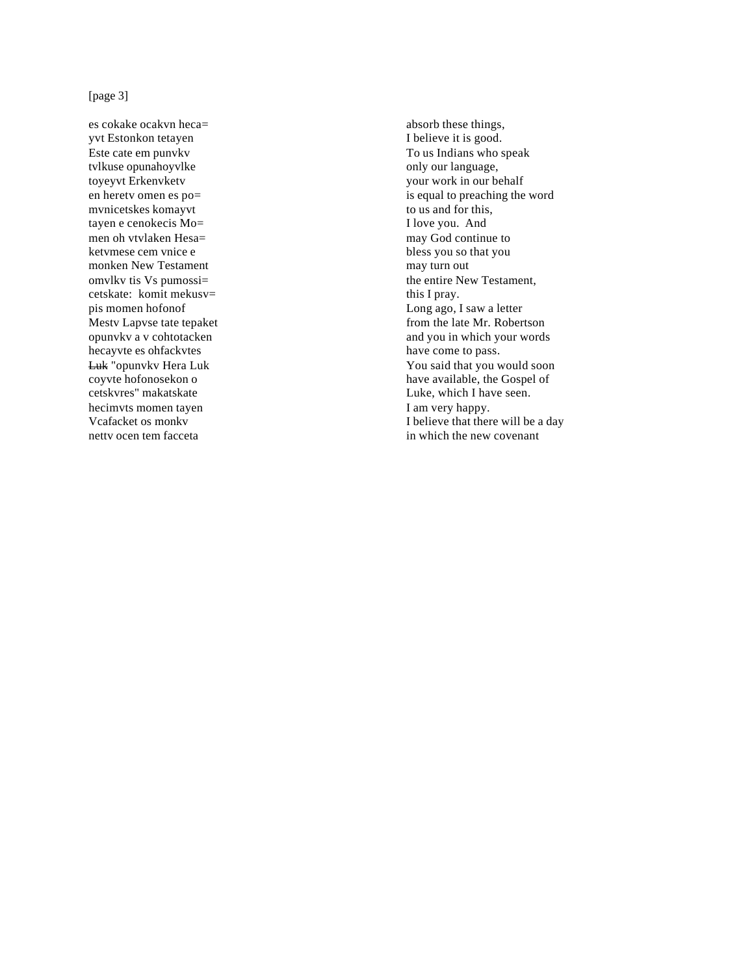## [page  $3$ ]

es cokake ocakvn heca= yvt Estonkon tetayen Este cate em punvkv tvlkuse opunahoyvlke toyeyvt Erkenvketv en herety omen es po= mvnicetskes komayvt tayen e cenokecis Mo= men oh vtvlaken Hesa= ketymese cem vnice e monken New Testament omvlky tis Vs pumossi= cetskate: komit mekusv= pis momen hofonof Mesty Lapyse tate tepaket opunvkv a v cohtotacken hecayvte es ohfackvtes Luk "opunvkv Hera Luk coyvte hofonosekon o cetskvres" makatskate hecimvts momen tayen Vcafacket os monky netty ocen tem facceta

absorb these things, I believe it is good. To us Indians who speak only our language, your work in our behalf is equal to preaching the word to us and for this, I love you. And may God continue to bless you so that you may turn out the entire New Testament, this I pray. Long ago, I saw a letter from the late Mr. Robertson and you in which your words have come to pass. You said that you would soon have available, the Gospel of Luke, which I have seen. I am very happy. I believe that there will be a day in which the new covenant